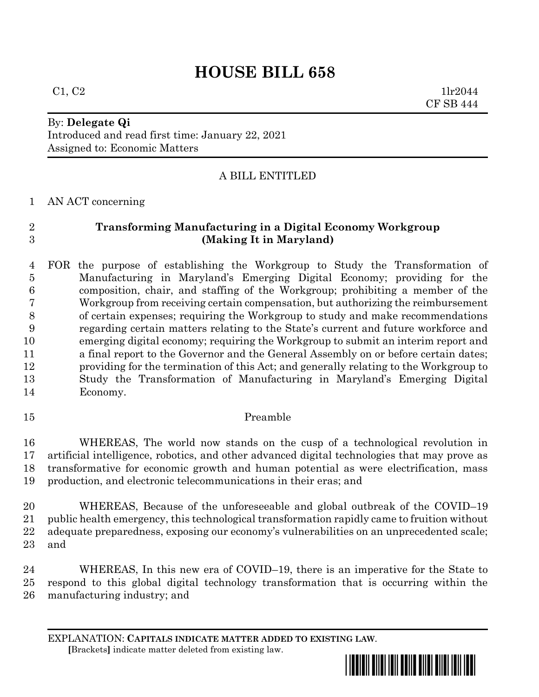# **HOUSE BILL 658**

 $C1, C2$  1lr2044 CF SB 444

# By: **Delegate Qi**

Introduced and read first time: January 22, 2021 Assigned to: Economic Matters

## A BILL ENTITLED

AN ACT concerning

# **Transforming Manufacturing in a Digital Economy Workgroup (Making It in Maryland)**

 FOR the purpose of establishing the Workgroup to Study the Transformation of Manufacturing in Maryland's Emerging Digital Economy; providing for the composition, chair, and staffing of the Workgroup; prohibiting a member of the Workgroup from receiving certain compensation, but authorizing the reimbursement of certain expenses; requiring the Workgroup to study and make recommendations regarding certain matters relating to the State's current and future workforce and emerging digital economy; requiring the Workgroup to submit an interim report and a final report to the Governor and the General Assembly on or before certain dates; providing for the termination of this Act; and generally relating to the Workgroup to Study the Transformation of Manufacturing in Maryland's Emerging Digital Economy.

## Preamble

 WHEREAS, The world now stands on the cusp of a technological revolution in artificial intelligence, robotics, and other advanced digital technologies that may prove as transformative for economic growth and human potential as were electrification, mass production, and electronic telecommunications in their eras; and

 WHEREAS, Because of the unforeseeable and global outbreak of the COVID–19 public health emergency, this technological transformation rapidly came to fruition without adequate preparedness, exposing our economy's vulnerabilities on an unprecedented scale; and

 WHEREAS, In this new era of COVID–19, there is an imperative for the State to respond to this global digital technology transformation that is occurring within the manufacturing industry; and

EXPLANATION: **CAPITALS INDICATE MATTER ADDED TO EXISTING LAW**.  **[**Brackets**]** indicate matter deleted from existing law.

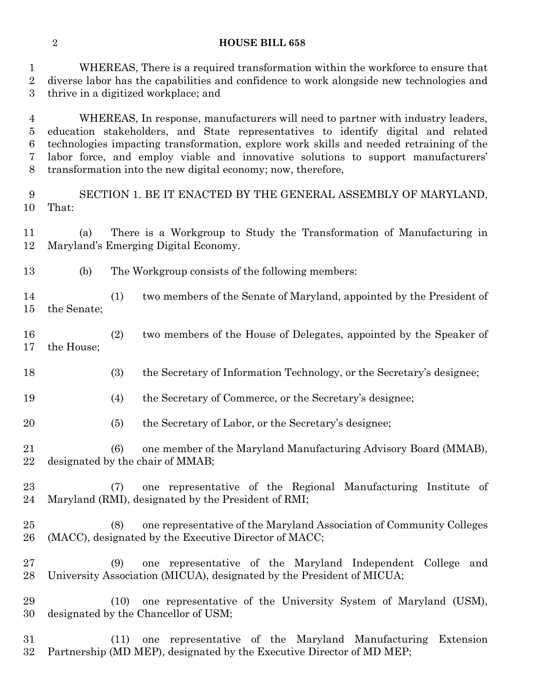#### **HOUSE BILL 658**

 WHEREAS, There is a required transformation within the workforce to ensure that diverse labor has the capabilities and confidence to work alongside new technologies and thrive in a digitized workplace; and

 WHEREAS, In response, manufacturers will need to partner with industry leaders, education stakeholders, and State representatives to identify digital and related technologies impacting transformation, explore work skills and needed retraining of the labor force, and employ viable and innovative solutions to support manufacturers' transformation into the new digital economy; now, therefore,

 SECTION 1. BE IT ENACTED BY THE GENERAL ASSEMBLY OF MARYLAND, That:

 (a) There is a Workgroup to Study the Transformation of Manufacturing in Maryland's Emerging Digital Economy.

- (b) The Workgroup consists of the following members:
- (1) two members of the Senate of Maryland, appointed by the President of the Senate;
- (2) two members of the House of Delegates, appointed by the Speaker of the House;
- (3) the Secretary of Information Technology, or the Secretary's designee;
- (4) the Secretary of Commerce, or the Secretary's designee;
- (5) the Secretary of Labor, or the Secretary's designee;
- (6) one member of the Maryland Manufacturing Advisory Board (MMAB), designated by the chair of MMAB;
- (7) one representative of the Regional Manufacturing Institute of Maryland (RMI), designated by the President of RMI;
- (8) one representative of the Maryland Association of Community Colleges (MACC), designated by the Executive Director of MACC;
- (9) one representative of the Maryland Independent College and University Association (MICUA), designated by the President of MICUA;
- (10) one representative of the University System of Maryland (USM), designated by the Chancellor of USM;
- (11) one representative of the Maryland Manufacturing Extension Partnership (MD MEP), designated by the Executive Director of MD MEP;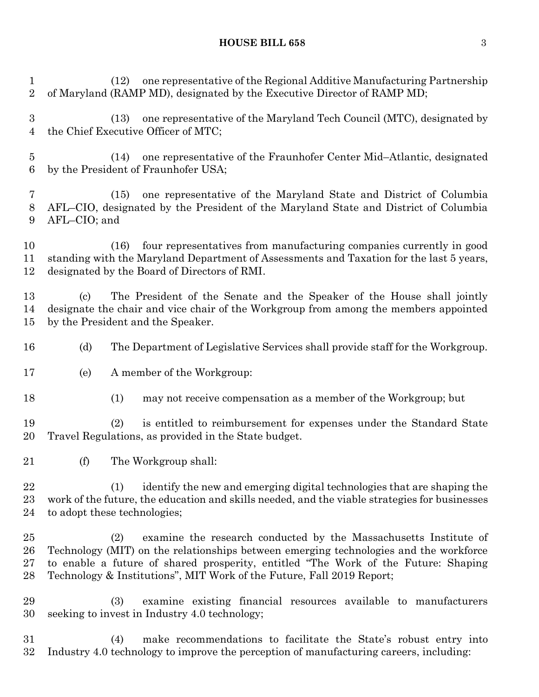#### **HOUSE BILL 658** 3

 (12) one representative of the Regional Additive Manufacturing Partnership of Maryland (RAMP MD), designated by the Executive Director of RAMP MD; (13) one representative of the Maryland Tech Council (MTC), designated by the Chief Executive Officer of MTC; (14) one representative of the Fraunhofer Center Mid–Atlantic, designated by the President of Fraunhofer USA; (15) one representative of the Maryland State and District of Columbia AFL–CIO, designated by the President of the Maryland State and District of Columbia AFL–CIO; and (16) four representatives from manufacturing companies currently in good standing with the Maryland Department of Assessments and Taxation for the last 5 years, designated by the Board of Directors of RMI. (c) The President of the Senate and the Speaker of the House shall jointly designate the chair and vice chair of the Workgroup from among the members appointed by the President and the Speaker. (d) The Department of Legislative Services shall provide staff for the Workgroup. (e) A member of the Workgroup: (1) may not receive compensation as a member of the Workgroup; but (2) is entitled to reimbursement for expenses under the Standard State Travel Regulations, as provided in the State budget. (f) The Workgroup shall: (1) identify the new and emerging digital technologies that are shaping the work of the future, the education and skills needed, and the viable strategies for businesses to adopt these technologies; (2) examine the research conducted by the Massachusetts Institute of Technology (MIT) on the relationships between emerging technologies and the workforce to enable a future of shared prosperity, entitled "The Work of the Future: Shaping Technology & Institutions", MIT Work of the Future, Fall 2019 Report; (3) examine existing financial resources available to manufacturers seeking to invest in Industry 4.0 technology; (4) make recommendations to facilitate the State's robust entry into Industry 4.0 technology to improve the perception of manufacturing careers, including: